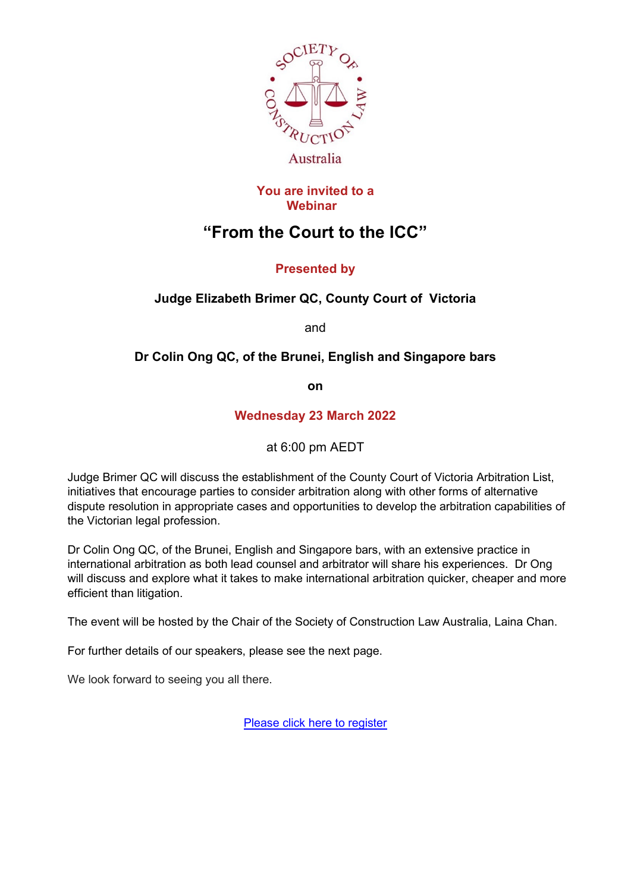

#### **You are invited to a Webinar**

# **"From the Court to the ICC"**

## **Presented by**

## **Judge Elizabeth Brimer QC, County Court of Victoria**

and

## **Dr Colin Ong QC, of the Brunei, English and Singapore bars**

**on**

### **Wednesday 23 March 2022**

at 6:00 pm AEDT

Judge Brimer QC will discuss the establishment of the County Court of Victoria Arbitration List, initiatives that encourage parties to consider arbitration along with other forms of alternative dispute resolution in appropriate cases and opportunities to develop the arbitration capabilities of the Victorian legal profession.

Dr Colin Ong QC, of the Brunei, English and Singapore bars, with an extensive practice in international arbitration as both lead counsel and arbitrator will share his experiences. Dr Ong will discuss and explore what it takes to make international arbitration quicker, cheaper and more efficient than litigation.

The event will be hosted by the Chair of the Society of Construction Law Australia, Laina Chan.

For further details of our speakers, please see the next page.

We look forward to seeing you all there.

[Please click here to register](https://www.scl.org.au/node/2301/register)